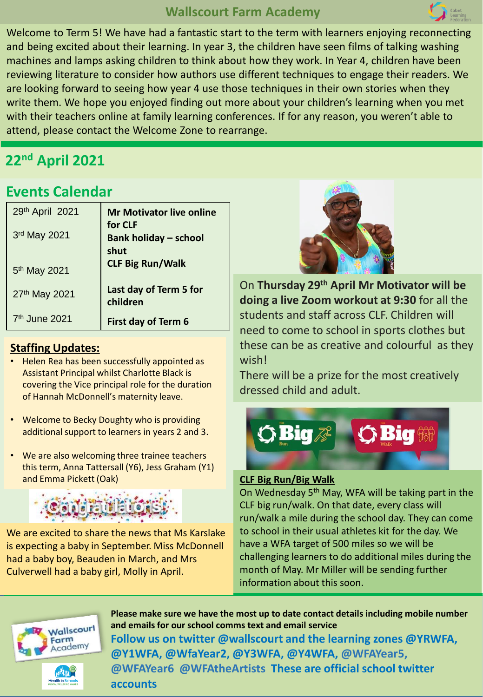## **Wallscourt Farm Academy**



Welcome to Term 5! We have had a fantastic start to the term with learners enjoying reconnecting and being excited about their learning. In year 3, the children have seen films of talking washing machines and lamps asking children to think about how they work. In Year 4, children have been reviewing literature to consider how authors use different techniques to engage their readers. We are looking forward to seeing how year 4 use those techniques in their own stories when they write them. We hope you enjoyed finding out more about your children's learning when you met with their teachers online at family learning conferences. If for any reason, you weren't able to attend, please contact the Welcome Zone to rearrange.

# **22nd April 2021**

# **Events Calendar**

| 29th April 2021           | <b>Mr Motivator live online</b>         |
|---------------------------|-----------------------------------------|
| 3rd May 2021              | for CLF<br><b>Bank holiday - school</b> |
|                           | shut<br><b>CLF Big Run/Walk</b>         |
| 5 <sup>th</sup> May 2021  |                                         |
| 27th May 2021             | Last day of Term 5 for<br>children      |
| 7 <sup>th</sup> June 2021 | First day of Term 6                     |

#### **Staffing Updates:**

- Helen Rea has been successfully appointed as Assistant Principal whilst Charlotte Black is covering the Vice principal role for the duration of Hannah McDonnell's maternity leave.
- Welcome to Becky Doughty who is providing additional support to learners in years 2 and 3.
- We are also welcoming three trainee teachers this term, Anna Tattersall (Y6), Jess Graham (Y1) and Emma Pickett (Oak)



We are excited to share the news that Ms Karslake is expecting a baby in September. Miss McDonnell had a baby boy, Beauden in March, and Mrs Culverwell had a baby girl, Molly in April.



On **Thursday 29th April Mr Motivator will be doing a live Zoom workout at 9:30** for all the students and staff across CLF. Children will need to come to school in sports clothes but these can be as creative and colourful as they wish!

There will be a prize for the most creatively dressed child and adult.



#### **CLF Big Run/Big Walk**

On Wednesday 5th May, WFA will be taking part in the CLF big run/walk. On that date, every class will run/walk a mile during the school day. They can come to school in their usual athletes kit for the day. We have a WFA target of 500 miles so we will be challenging learners to do additional miles during the month of May. Mr Miller will be sending further information about this soon.



**Please make sure we have the most up to date contact details including mobile number and emails for our school comms text and email service Follow us on twitter @wallscourt and the learning zones @YRWFA, @Y1WFA, @WfaYear2, @Y3WFA, @Y4WFA, @WFAYear5, @WFAYear6 @WFAtheArtists These are official school twitter accounts**